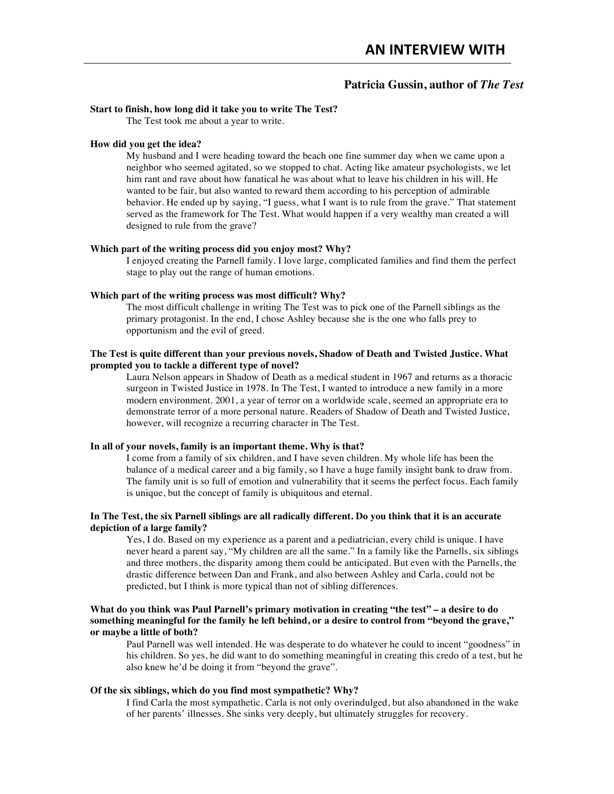# **Patricia Gussin, author of** *The Test*

# **Start to finish, how long did it take you to write The Test?**

The Test took me about a year to write.

### **How did you get the idea?**

My husband and I were heading toward the beach one fine summer day when we came upon a neighbor who seemed agitated, so we stopped to chat. Acting like amateur psychologists, we let him rant and rave about how fanatical he was about what to leave his children in his will. He wanted to be fair, but also wanted to reward them according to his perception of admirable behavior. He ended up by saying, "I guess, what I want is to rule from the grave." That statement served as the framework for The Test. What would happen if a very wealthy man created a will designed to rule from the grave?

#### **Which part of the writing process did you enjoy most? Why?**

I enjoyed creating the Parnell family. I love large, complicated families and find them the perfect stage to play out the range of human emotions.

#### **Which part of the writing process was most difficult? Why?**

The most difficult challenge in writing The Test was to pick one of the Parnell siblings as the primary protagonist. In the end, I chose Ashley because she is the one who falls prey to opportunism and the evil of greed.

# **The Test is quite different than your previous novels, Shadow of Death and Twisted Justice. What prompted you to tackle a different type of novel?**

Laura Nelson appears in Shadow of Death as a medical student in 1967 and returns as a thoracic surgeon in Twisted Justice in 1978. In The Test, I wanted to introduce a new family in a more modern environment. 2001, a year of terror on a worldwide scale, seemed an appropriate era to demonstrate terror of a more personal nature. Readers of Shadow of Death and Twisted Justice, however, will recognize a recurring character in The Test.

### **In all of your novels, family is an important theme. Why is that?**

I come from a family of six children, and I have seven children. My whole life has been the balance of a medical career and a big family, so I have a huge family insight bank to draw from. The family unit is so full of emotion and vulnerability that it seems the perfect focus. Each family is unique, but the concept of family is ubiquitous and eternal.

### **In The Test, the six Parnell siblings are all radically different. Do you think that it is an accurate depiction of a large family?**

Yes, I do. Based on my experience as a parent and a pediatrician, every child is unique. I have never heard a parent say, "My children are all the same." In a family like the Parnells, six siblings and three mothers, the disparity among them could be anticipated. But even with the Parnells, the drastic difference between Dan and Frank, and also between Ashley and Carla, could not be predicted, but I think is more typical than not of sibling differences.

# **What do you think was Paul Parnell's primary motivation in creating "the test" – a desire to do something meaningful for the family he left behind, or a desire to control from "beyond the grave," or maybe a little of both?**

Paul Parnell was well intended. He was desperate to do whatever he could to incent "goodness" in his children. So yes, he did want to do something meaningful in creating this credo of a test, but he also knew he'd be doing it from "beyond the grave".

# **Of the six siblings, which do you find most sympathetic? Why?**

I find Carla the most sympathetic. Carla is not only overindulged, but also abandoned in the wake of her parents' illnesses. She sinks very deeply, but ultimately struggles for recovery.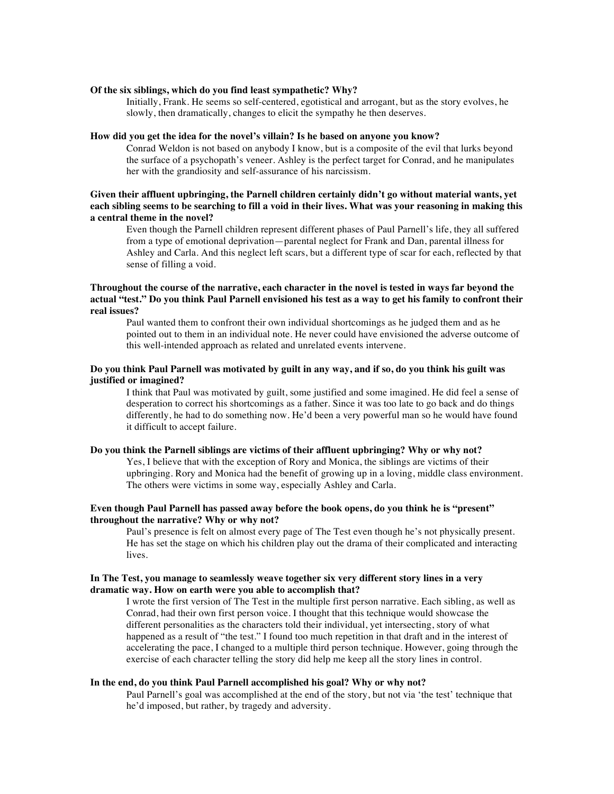#### **Of the six siblings, which do you find least sympathetic? Why?**

Initially, Frank. He seems so self-centered, egotistical and arrogant, but as the story evolves, he slowly, then dramatically, changes to elicit the sympathy he then deserves.

#### **How did you get the idea for the novel's villain? Is he based on anyone you know?**

Conrad Weldon is not based on anybody I know, but is a composite of the evil that lurks beyond the surface of a psychopath's veneer. Ashley is the perfect target for Conrad, and he manipulates her with the grandiosity and self-assurance of his narcissism.

# **Given their affluent upbringing, the Parnell children certainly didn't go without material wants, yet each sibling seems to be searching to fill a void in their lives. What was your reasoning in making this a central theme in the novel?**

Even though the Parnell children represent different phases of Paul Parnell's life, they all suffered from a type of emotional deprivation—parental neglect for Frank and Dan, parental illness for Ashley and Carla. And this neglect left scars, but a different type of scar for each, reflected by that sense of filling a void.

### **Throughout the course of the narrative, each character in the novel is tested in ways far beyond the actual "test." Do you think Paul Parnell envisioned his test as a way to get his family to confront their real issues?**

Paul wanted them to confront their own individual shortcomings as he judged them and as he pointed out to them in an individual note. He never could have envisioned the adverse outcome of this well-intended approach as related and unrelated events intervene.

# **Do you think Paul Parnell was motivated by guilt in any way, and if so, do you think his guilt was justified or imagined?**

I think that Paul was motivated by guilt, some justified and some imagined. He did feel a sense of desperation to correct his shortcomings as a father. Since it was too late to go back and do things differently, he had to do something now. He'd been a very powerful man so he would have found it difficult to accept failure.

#### **Do you think the Parnell siblings are victims of their affluent upbringing? Why or why not?**

Yes, I believe that with the exception of Rory and Monica, the siblings are victims of their upbringing. Rory and Monica had the benefit of growing up in a loving, middle class environment. The others were victims in some way, especially Ashley and Carla.

# **Even though Paul Parnell has passed away before the book opens, do you think he is "present" throughout the narrative? Why or why not?**

Paul's presence is felt on almost every page of The Test even though he's not physically present. He has set the stage on which his children play out the drama of their complicated and interacting lives.

### **In The Test, you manage to seamlessly weave together six very different story lines in a very dramatic way. How on earth were you able to accomplish that?**

I wrote the first version of The Test in the multiple first person narrative. Each sibling, as well as Conrad, had their own first person voice. I thought that this technique would showcase the different personalities as the characters told their individual, yet intersecting, story of what happened as a result of "the test." I found too much repetition in that draft and in the interest of accelerating the pace, I changed to a multiple third person technique. However, going through the exercise of each character telling the story did help me keep all the story lines in control.

#### **In the end, do you think Paul Parnell accomplished his goal? Why or why not?**

Paul Parnell's goal was accomplished at the end of the story, but not via 'the test' technique that he'd imposed, but rather, by tragedy and adversity.